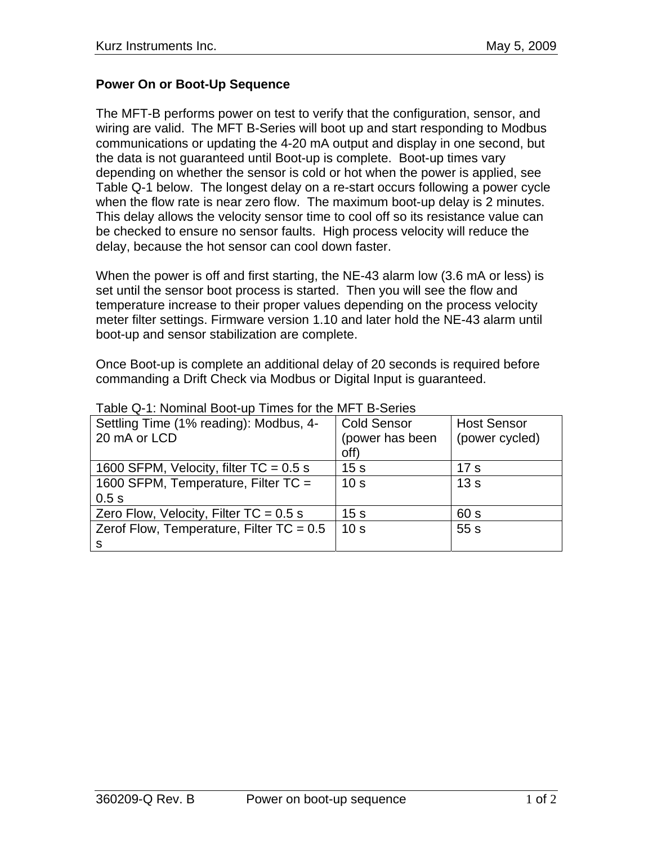## **Power On or Boot-Up Sequence**

The MFT-B performs power on test to verify that the configuration, sensor, and wiring are valid. The MFT B-Series will boot up and start responding to Modbus communications or updating the 4-20 mA output and display in one second, but the data is not guaranteed until Boot-up is complete. Boot-up times vary depending on whether the sensor is cold or hot when the power is applied, see Table Q-1 below. The longest delay on a re-start occurs following a power cycle when the flow rate is near zero flow. The maximum boot-up delay is 2 minutes. This delay allows the velocity sensor time to cool off so its resistance value can be checked to ensure no sensor faults. High process velocity will reduce the delay, because the hot sensor can cool down faster.

When the power is off and first starting, the NE-43 alarm low (3.6 mA or less) is set until the sensor boot process is started. Then you will see the flow and temperature increase to their proper values depending on the process velocity meter filter settings. Firmware version 1.10 and later hold the NE-43 alarm until boot-up and sensor stabilization are complete.

Once Boot-up is complete an additional delay of 20 seconds is required before commanding a Drift Check via Modbus or Digital Input is guaranteed.

| Settling Time (1% reading): Modbus, 4-     | <b>Cold Sensor</b> | <b>Host Sensor</b> |
|--------------------------------------------|--------------------|--------------------|
| 20 mA or LCD                               | (power has been    | (power cycled)     |
|                                            | off)               |                    |
| 1600 SFPM, Velocity, filter $TC = 0.5$ s   | 15 <sub>s</sub>    | 17 <sub>s</sub>    |
| 1600 SFPM, Temperature, Filter TC =        | 10 <sub>s</sub>    | 13s                |
| 0.5s                                       |                    |                    |
| Zero Flow, Velocity, Filter $TC = 0.5$ s   | 15 <sub>s</sub>    | 60 s               |
| Zerof Flow, Temperature, Filter $TC = 0.5$ | 10 <sub>s</sub>    | 55s                |
| S                                          |                    |                    |

Table Q-1: Nominal Boot-up Times for the MFT B-Series